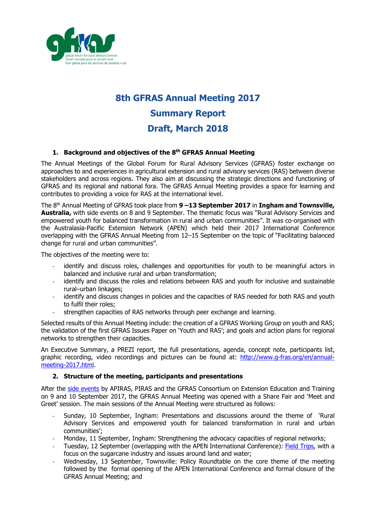

# **8th GFRAS Annual Meeting 2017 Summary Report Draft, March 2018**

# **1. Background and objectives of the 8th GFRAS Annual Meeting**

The Annual Meetings of the Global Forum for Rural Advisory Services (GFRAS) foster exchange on approaches to and experiences in agricultural extension and rural advisory services (RAS) between diverse stakeholders and across regions. They also aim at discussing the strategic directions and functioning of GFRAS and its regional and national fora. The GFRAS Annual Meeting provides a space for learning and contributes to providing a voice for RAS at the international level.

The 8th Annual Meeting of GFRAS took place from **9 –13 September 2017** in **Ingham and Townsville, Australia,** with side events on 8 and 9 September. The thematic focus was "Rural Advisory Services and empowered youth for balanced transformation in rural and urban communities". It was co-organised with the Australasia-Pacific Extension Network (APEN) which held their 2017 International Conference overlapping with the GFRAS Annual Meeting from 12–15 September on the topic of "Facilitating balanced change for rural and urban communities".

The objectives of the meeting were to:

- identify and discuss roles, challenges and opportunities for youth to be meaningful actors in balanced and inclusive rural and urban transformation;
- identify and discuss the roles and relations between RAS and youth for inclusive and sustainable rural–urban linkages;
- identify and discuss changes in policies and the capacities of RAS needed for both RAS and youth to fulfil their roles;
- strengthen capacities of RAS networks through peer exchange and learning.

Selected results of this Annual Meeting include: the creation of a GFRAS Working Group on youth and RAS; the validation of the first GFRAS Issues Paper on 'Youth and RAS'; and goals and action plans for regional networks to strengthen their capacities.

An Executive Summary, a PREZI report, the full presentations, agenda, concept note, participants list, graphic recording, video recordings and pictures can be found at: [http://www.g-fras.org/en/annual](http://www.g-fras.org/en/annual-meeting-2017.html)[meeting-2017.html.](http://www.g-fras.org/en/annual-meeting-2017.html)

## **2. Structure of the meeting, participants and presentations**

After the [side events](http://www.g-fras.org/en/share-fair-side-events17/side-events.html) by APIRAS, PIRAS and the GFRAS Consortium on Extension Education and Training on 9 and 10 September 2017, the GFRAS Annual Meeting was opened with a Share Fair and 'Meet and Greet' session. The main sessions of the Annual Meeting were structured as follows:

- Sunday, 10 September, Ingham: Presentations and discussions around the theme of 'Rural Advisory Services and empowered youth for balanced transformation in rural and urban communities';
- Monday, 11 September, Ingham: Strengthening the advocacy capacities of regional networks;
- Tuesday, 12 September (overlapping with the APEN International Conference): [Field Trips,](http://www.g-fras.org/en/empowered-youth/field-trips.html) with a focus on the sugarcane industry and issues around land and water;
- Wednesday, 13 September, Townsville: Policy Roundtable on the core theme of the meeting followed by the formal opening of the APEN International Conference and formal closure of the GFRAS Annual Meeting; and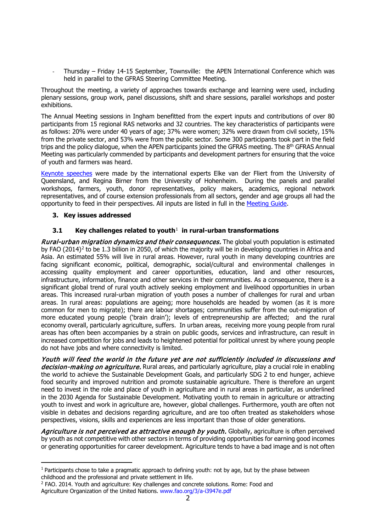Thursday – Friday 14-15 September, Townsville: the APEN International Conference which was held in parallel to the GFRAS Steering Committee Meeting.

Throughout the meeting, a variety of approaches towards exchange and learning were used, including plenary sessions, group work, panel discussions, shift and share sessions, parallel workshops and poster exhibitions.

The Annual Meeting sessions in Ingham benefitted from the expert inputs and contributions of over 80 participants from 15 regional RAS networks and 32 countries. The key characteristics of participants were as follows: 20% were under 40 years of age; 37% were women; 32% were drawn from civil society, 15% from the private sector, and 53% were from the public sector. Some 300 participants took part in the field trips and the policy dialogue, when the APEN participants joined the GFRAS meeting. The 8<sup>th</sup> GFRAS Annual Meeting was particularly commended by participants and development partners for ensuring that the voice of youth and farmers was heard.

[Keynote speeches](http://www.g-fras.org/en/empowered-youth/keynote-panel.html) were made by the international experts Elke van der Fliert from the University of Queensland, and Regina Birner from the University of Hohenheim. During the panels and parallel workshops, farmers, youth, donor representatives, policy makers, academics, regional network representatives, and of course extension professionals from all sectors, gender and age groups all had the opportunity to feed in their perspectives. All inputs are listed in full in the [Meeting Guide.](http://www.g-fras.org/images/events/annual_meetings/2017/GFRAS_Meeting_Guide_6_GFRAS_Annual_Meeting_web.pdf)

## **3. Key issues addressed**

i<br>I

# **3.1 Key challenges related to youth**[1](#page-1-0) **in rural-urban transformations**

Rural-urban migration dynamics and their consequences. The global youth population is estimated by FAO  $(2014)^2$  $(2014)^2$  $(2014)^2$  to be 1.3 billion in 2050, of which the majority will be in developing countries in Africa and Asia. An estimated 55% will live in rural areas. However, rural youth in many developing countries are facing significant economic, political, demographic, social/cultural and environmental challenges in accessing quality employment and career opportunities, education, land and other resources, infrastructure, information, finance and other services in their communities. As a consequence, there is a significant global trend of rural youth actively seeking employment and livelihood opportunities in urban areas. This increased rural-urban migration of youth poses a number of challenges for rural and urban areas. In rural areas: populations are ageing; more households are headed by women (as it is more common for men to migrate); there are labour shortages; communities suffer from the out-migration of more educated young people ('brain drain'); levels of entrepreneurship are affected; and the rural economy overall, particularly agriculture, suffers. In urban areas, receiving more young people from rural areas has often been accompanies by a strain on public goods, services and infrastructure, can result in increased competition for jobs and leads to heightened potential for political unrest by where young people do not have jobs and where connectivity is limited.

Youth will feed the world in the future yet are not sufficiently included in discussions and decision-making on agriculture. Rural areas, and particularly agriculture, play a crucial role in enabling the world to achieve the Sustainable Development Goals, and particularly SDG 2 to end hunger, achieve food security and improved nutrition and promote sustainable agriculture. There is therefore an urgent need to invest in the role and place of youth in agriculture and in rural areas in particular, as underlined in the 2030 Agenda for Sustainable Development. Motivating youth to remain in agriculture or attracting youth to invest and work in agriculture are, however, global challenges. Furthermore, youth are often not visible in debates and decisions regarding agriculture, and are too often treated as stakeholders whose perspectives, visions, skills and experiences are less important than those of older generations.

Agriculture is not perceived as attractive enough by youth. Globally, agriculture is often perceived by youth as not competitive with other sectors in terms of providing opportunities for earning good incomes or generating opportunities for career development. Agriculture tends to have a bad image and is not often

<span id="page-1-0"></span> $1$  Participants chose to take a pragmatic approach to defining youth: not by age, but by the phase between childhood and the professional and private settlement in life.

<span id="page-1-1"></span><sup>2</sup> FAO. 2014. Youth and agriculture: Key challenges and concrete solutions. Rome: Food and Agriculture Organization of the United Nations. www.fao.org/3/a-i3947e.pdf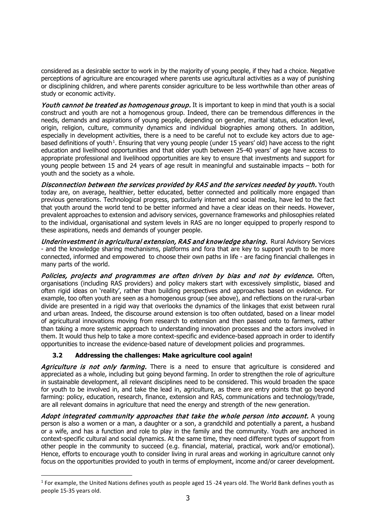considered as a desirable sector to work in by the majority of young people, if they had a choice. Negative perceptions of agriculture are encouraged where parents use agricultural activities as a way of punishing or disciplining children, and where parents consider agriculture to be less worthwhile than other areas of study or economic activity.

Youth cannot be treated as homogenous group. It is important to keep in mind that youth is a social construct and youth are not a homogenous group. Indeed, there can be tremendous differences in the needs, demands and aspirations of young people, depending on gender, marital status, education level, origin, religion, culture, community dynamics and individual biographies among others. In addition, especially in development activities, there is a need to be careful not to exclude key actors due to age-based definitions of youth<sup>[1](#page-2-0)</sup>. Ensuring that very young people (under 15 years' old) have access to the right education and livelihood opportunities and that older youth between 25-40 years' of age have access to appropriate professional and livelihood opportunities are key to ensure that investments and support for young people between 15 and 24 years of age result in meaningful and sustainable impacts – both for youth and the society as a whole.

Disconnection between the services provided by RAS and the services needed by youth. Youth today are, on average, healthier, better educated, better connected and politically more engaged than previous generations. Technological progress, particularly internet and social media, have led to the fact that youth around the world tend to be better informed and have a clear ideas on their needs. However, prevalent approaches to extension and advisory services, governance frameworks and philosophies related to the individual, organisational and system levels in RAS are no longer equipped to properly respond to these aspirations, needs and demands of younger people.

Underinvestment in agricultural extension, RAS and knowledge sharing. Rural Advisory Services - and the knowledge sharing mechanisms, platforms and fora that are key to support youth to be more connected, informed and empowered to choose their own paths in life - are facing financial challenges in many parts of the world.

Policies, projects and programmes are often driven by bias and not by evidence. Often, organisations (including RAS providers) and policy makers start with excessively simplistic, biased and often rigid ideas on 'reality', rather than building perspectives and approaches based on evidence. For example, too often youth are seen as a homogenous group (see above), and reflections on the rural-urban divide are presented in a rigid way that overlooks the dynamics of the linkages that exist between rural and urban areas. Indeed, the discourse around extension is too often outdated, based on a linear model of agricultural innovations moving from research to extension and then passed onto to farmers, rather than taking a more systemic approach to understanding innovation processes and the actors involved in them. It would thus help to take a more context-specific and evidence-based approach in order to identify opportunities to increase the evidence-based nature of development policies and programmes.

# **3.2 Addressing the challenges: Make agriculture cool again!**

Agriculture is not only farming. There is a need to ensure that agriculture is considered and appreciated as a whole, including but going beyond farming. In order to strengthen the role of agriculture in sustainable development, all relevant disciplines need to be considered. This would broaden the space for youth to be involved in, and take the lead in, agriculture, as there are entry points that go beyond farming: policy, education, research, finance, extension and RAS, communications and technology/trade, are all relevant domains in agriculture that need the energy and strength of the new generation.

Adopt integrated community approaches that take the whole person into account. A young person is also a women or a man, a daughter or a son, a grandchild and potentially a parent, a husband or a wife, and has a function and role to play in the family and the community. Youth are anchored in context-specific cultural and social dynamics. At the same time, they need different types of support from other people in the community to succeed (e.g. financial, material, practical, work and/or emotional). Hence, efforts to encourage youth to consider living in rural areas and working in agriculture cannot only focus on the opportunities provided to youth in terms of employment, income and/or career development.

<span id="page-2-0"></span>ł  $1$  For example, the United Nations defines youth as people aged 15 -24 years old. The World Bank defines youth as people 15-35 years old.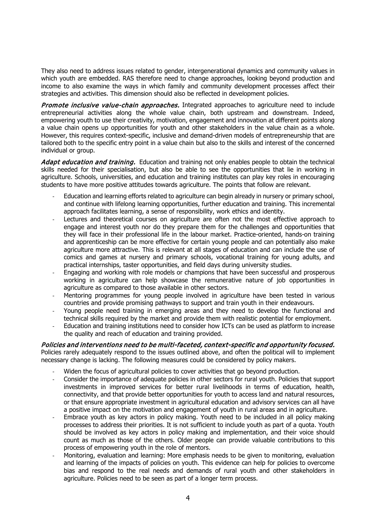They also need to address issues related to gender, intergenerational dynamics and community values in which youth are embedded. RAS therefore need to change approaches, looking beyond production and income to also examine the ways in which family and community development processes affect their strategies and activities. This dimension should also be reflected in development policies.

**Promote inclusive value-chain approaches.** Integrated approaches to agriculture need to include entrepreneurial activities along the whole value chain, both upstream and downstream. Indeed, empowering youth to use their creativity, motivation, engagement and innovation at different points along a value chain opens up opportunities for youth and other stakeholders in the value chain as a whole. However, this requires context-specific, inclusive and demand-driven models of entrepreneurship that are tailored both to the specific entry point in a value chain but also to the skills and interest of the concerned individual or group.

Adapt education and training. Education and training not only enables people to obtain the technical skills needed for their specialisation, but also be able to see the opportunities that lie in working in agriculture. Schools, universities, and education and training institutes can play key roles in encouraging students to have more positive attitudes towards agriculture. The points that follow are relevant.

- Education and learning efforts related to agriculture can begin already in nursery or primary school, and continue with lifelong learning opportunities, further education and training. This incremental approach facilitates learning, a sense of responsibility, work ethics and identity.
- Lectures and theoretical courses on agriculture are often not the most effective approach to engage and interest youth nor do they prepare them for the challenges and opportunities that they will face in their professional life in the labour market. Practice-oriented, hands-on training and apprenticeship can be more effective for certain young people and can potentially also make agriculture more attractive. This is relevant at all stages of education and can include the use of comics and games at nursery and primary schools, vocational training for young adults, and practical internships, taster opportunities, and field days during university studies.
- Engaging and working with role models or champions that have been successful and prosperous working in agriculture can help showcase the remunerative nature of job opportunities in agriculture as compared to those available in other sectors.
- Mentoring programmes for young people involved in agriculture have been tested in various countries and provide promising pathways to support and train youth in their endeavours.
- Young people need training in emerging areas and they need to develop the functional and technical skills required by the market and provide them with realistic potential for employment.
- Education and training institutions need to consider how ICTs can be used as platform to increase the quality and reach of education and training provided.

Policies and interventions need to be multi-faceted, context-specific and opportunity focused. Policies rarely adequately respond to the issues outlined above, and often the political will to implement necessary change is lacking. The following measures could be considered by policy makers.

- Widen the focus of agricultural policies to cover activities that go beyond production.
- Consider the importance of adequate policies in other sectors for rural youth. Policies that support investments in improved services for better rural livelihoods in terms of education, health, connectivity, and that provide better opportunities for youth to access land and natural resources, or that ensure appropriate investment in agricultural education and advisory services can all have a positive impact on the motivation and engagement of youth in rural areas and in agriculture.
- Embrace youth as key actors in policy making. Youth need to be included in all policy making processes to address their priorities. It is not sufficient to include youth as part of a quota. Youth should be involved as key actors in policy making and implementation, and their voice should count as much as those of the others. Older people can provide valuable contributions to this process of empowering youth in the role of mentors.
- Monitoring, evaluation and learning: More emphasis needs to be given to monitoring, evaluation and learning of the impacts of policies on youth. This evidence can help for policies to overcome bias and respond to the real needs and demands of rural youth and other stakeholders in agriculture. Policies need to be seen as part of a longer term process.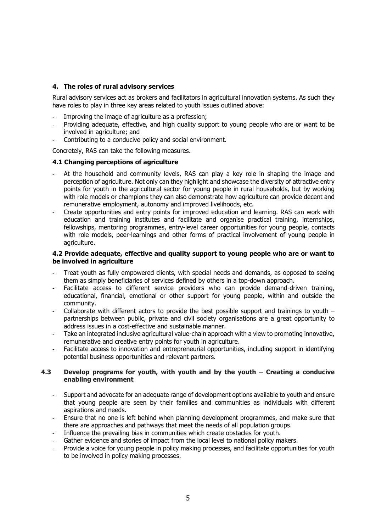# **4. The roles of rural advisory services**

Rural advisory services act as brokers and facilitators in agricultural innovation systems. As such they have roles to play in three key areas related to youth issues outlined above:

- Improving the image of agriculture as a profession;
- Providing adequate, effective, and high quality support to young people who are or want to be involved in agriculture; and
- Contributing to a conducive policy and social environment.

Concretely, RAS can take the following measures.

#### **4.1 Changing perceptions of agriculture**

- At the household and community levels, RAS can play a key role in shaping the image and perception of agriculture. Not only can they highlight and showcase the diversity of attractive entry points for youth in the agricultural sector for young people in rural households, but by working with role models or champions they can also demonstrate how agriculture can provide decent and remunerative employment, autonomy and improved livelihoods, etc.
- Create opportunities and entry points for improved education and learning. RAS can work with education and training institutes and facilitate and organise practical training, internships, fellowships, mentoring programmes, entry-level career opportunities for young people, contacts with role models, peer-learnings and other forms of practical involvement of young people in agriculture.

#### **4.2 Provide adequate, effective and quality support to young people who are or want to be involved in agriculture**

- Treat youth as fully empowered clients, with special needs and demands, as opposed to seeing them as simply beneficiaries of services defined by others in a top-down approach.
- Facilitate access to different service providers who can provide demand-driven training, educational, financial, emotional or other support for young people, within and outside the community.
- Collaborate with different actors to provide the best possible support and trainings to youth partnerships between public, private and civil society organisations are a great opportunity to address issues in a cost-effective and sustainable manner.
- Take an integrated inclusive agricultural value-chain approach with a view to promoting innovative, remunerative and creative entry points for youth in agriculture.
- Facilitate access to innovation and entrepreneurial opportunities, including support in identifying potential business opportunities and relevant partners.

#### **4.3 Develop programs for youth, with youth and by the youth – Creating a conducive enabling environment**

- Support and advocate for an adequate range of development options available to youth and ensure that young people are seen by their families and communities as individuals with different aspirations and needs.
- Ensure that no one is left behind when planning development programmes, and make sure that there are approaches and pathways that meet the needs of all population groups.
- Influence the prevailing bias in communities which create obstacles for youth.
- Gather evidence and stories of impact from the local level to national policy makers.
- Provide a voice for young people in policy making processes, and facilitate opportunities for youth to be involved in policy making processes.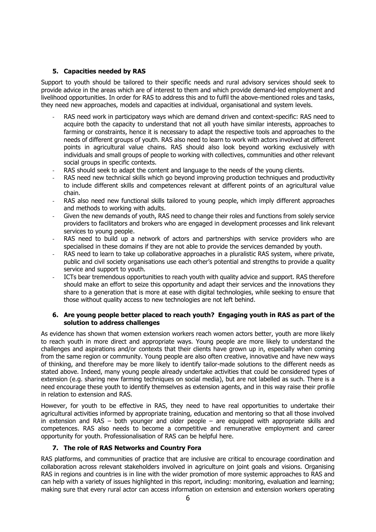# **5. Capacities needed by RAS**

Support to youth should be tailored to their specific needs and rural advisory services should seek to provide advice in the areas which are of interest to them and which provide demand-led employment and livelihood opportunities. In order for RAS to address this and to fulfil the above-mentioned roles and tasks, they need new approaches, models and capacities at individual, organisational and system levels.

- RAS need work in participatory ways which are demand driven and context-specific: RAS need to acquire both the capacity to understand that not all youth have similar interests, approaches to farming or constraints, hence it is necessary to adapt the respective tools and approaches to the needs of different groups of youth. RAS also need to learn to work with actors involved at different points in agricultural value chains. RAS should also look beyond working exclusively with individuals and small groups of people to working with collectives, communities and other relevant social groups in specific contexts.
- RAS should seek to adapt the content and language to the needs of the young clients.
- RAS need new technical skills which go beyond improving production techniques and productivity to include different skills and competences relevant at different points of an agricultural value chain.
- RAS also need new functional skills tailored to young people, which imply different approaches and methods to working with adults.
- Given the new demands of youth, RAS need to change their roles and functions from solely service providers to facilitators and brokers who are engaged in development processes and link relevant services to young people.
- RAS need to build up a network of actors and partnerships with service providers who are specialised in these domains if they are not able to provide the services demanded by youth.
- RAS need to learn to take up collaborative approaches in a pluralistic RAS system, where private, public and civil society organisations use each other's potential and strengths to provide a quality service and support to youth.
- ICTs bear tremendous opportunities to reach youth with quality advice and support. RAS therefore should make an effort to seize this opportunity and adapt their services and the innovations they share to a generation that is more at ease with digital technologies, while seeking to ensure that those without quality access to new technologies are not left behind.

## **6. Are young people better placed to reach youth? Engaging youth in RAS as part of the solution to address challenges**

As evidence has shown that women extension workers reach women actors better, youth are more likely to reach youth in more direct and appropriate ways. Young people are more likely to understand the challenges and aspirations and/or contexts that their clients have grown up in, especially when coming from the same region or community. Young people are also often creative, innovative and have new ways of thinking, and therefore may be more likely to identify tailor-made solutions to the different needs as stated above. Indeed, many young people already undertake activities that could be considered types of extension (e.g. sharing new farming techniques on social media), but are not labelled as such. There is a need encourage these youth to identify themselves as extension agents, and in this way raise their profile in relation to extension and RAS.

However, for youth to be effective in RAS, they need to have real opportunities to undertake their agricultural activities informed by appropriate training, education and mentoring so that all those involved in extension and RAS – both younger and older people – are equipped with appropriate skills and competences. RAS also needs to become a competitive and remunerative employment and career opportunity for youth. Professionalisation of RAS can be helpful here.

## **7. The role of RAS Networks and Country Fora**

RAS platforms, and communities of practice that are inclusive are critical to encourage coordination and collaboration across relevant stakeholders involved in agriculture on joint goals and visions. Organising RAS in regions and countries is in line with the wider promotion of more systemic approaches to RAS and can help with a variety of issues highlighted in this report, including: monitoring, evaluation and learning; making sure that every rural actor can access information on extension and extension workers operating